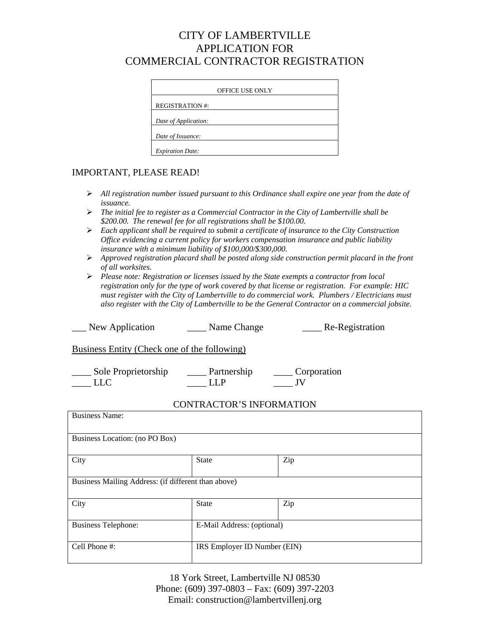# CITY OF LAMBERTVILLE APPLICATION FOR COMMERCIAL CONTRACTOR REGISTRATION

| <b>OFFICE USE ONLY</b>  |  |  |  |
|-------------------------|--|--|--|
| <b>REGISTRATION #:</b>  |  |  |  |
| Date of Application:    |  |  |  |
| Date of Issuance:       |  |  |  |
| <b>Expiration Date:</b> |  |  |  |

### IMPORTANT, PLEASE READ!

- ¾ *All registration number issued pursuant to this Ordinance shall expire one year from the date of issuance.*
- ¾ *The initial fee to register as a Commercial Contractor in the City of Lambertville shall be \$200.00. The renewal fee for all registrations shall be \$100.00.*
- ¾ *Each applicant shall be required to submit a certificate of insurance to the City Construction Office evidencing a current policy for workers compensation insurance and public liability insurance with a minimum liability of \$100,000/\$300,000.*
- ¾ *Approved registration placard shall be posted along side construction permit placard in the front of all worksites.*
- ¾ *Please note: Registration or licenses issued by the State exempts a contractor from local registration only for the type of work covered by that license or registration. For example: HIC must register with the City of Lambertville to do commercial work. Plumbers / Electricians must also register with the City of Lambertville to be the General Contractor on a commercial jobsite.*

| New Application                              | Name Change         | Re-Registration |  |  |  |  |
|----------------------------------------------|---------------------|-----------------|--|--|--|--|
| Business Entity (Check one of the following) |                     |                 |  |  |  |  |
| Sole Proprietorship<br>LLC                   | Partnership<br>LL P | Corporation     |  |  |  |  |

### CONTRACTOR'S INFORMATION

| <b>Business Name:</b>                               |              |                              |  |  |  |
|-----------------------------------------------------|--------------|------------------------------|--|--|--|
| Business Location: (no PO Box)                      |              |                              |  |  |  |
| City                                                | <b>State</b> | Zip                          |  |  |  |
| Business Mailing Address: (if different than above) |              |                              |  |  |  |
| City                                                | <b>State</b> | Zip                          |  |  |  |
| <b>Business Telephone:</b>                          |              | E-Mail Address: (optional)   |  |  |  |
| Cell Phone #:                                       |              | IRS Employer ID Number (EIN) |  |  |  |

18 York Street, Lambertville NJ 08530 Phone: (609) 397-0803 – Fax: (609) 397-2203 Email: construction@lambertvillenj.org